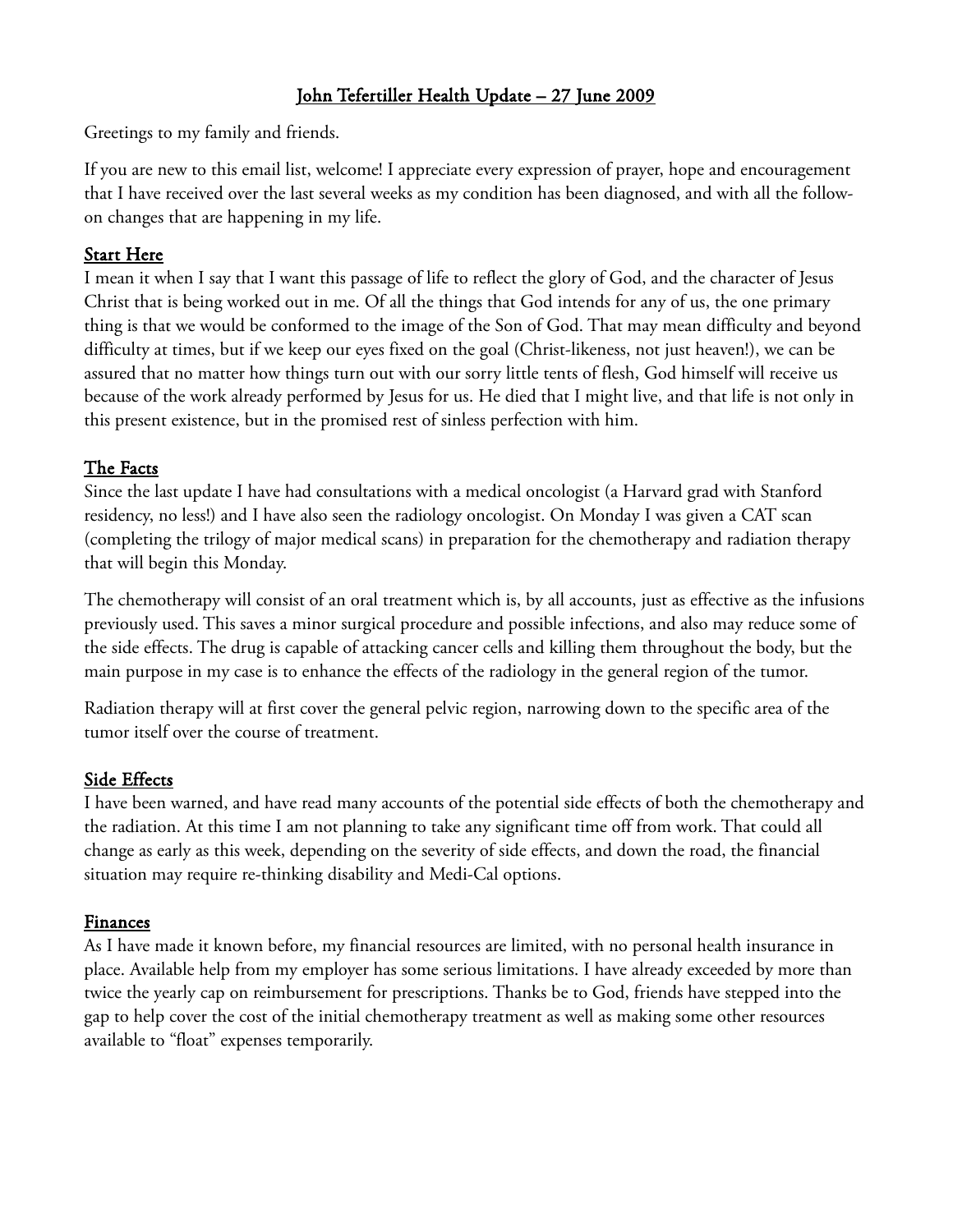# John Tefertiller Health Update – 27 June 2009

Greetings to my family and friends.

If you are new to this email list, welcome! I appreciate every expression of prayer, hope and encouragement that I have received over the last several weeks as my condition has been diagnosed, and with all the followon changes that are happening in my life.

# Start Here

I mean it when I say that I want this passage of life to reflect the glory of God, and the character of Jesus Christ that is being worked out in me. Of all the things that God intends for any of us, the one primary thing is that we would be conformed to the image of the Son of God. That may mean difficulty and beyond difficulty at times, but if we keep our eyes fixed on the goal (Christ-likeness, not just heaven!), we can be assured that no matter how things turn out with our sorry little tents of flesh, God himself will receive us because of the work already performed by Jesus for us. He died that I might live, and that life is not only in this present existence, but in the promised rest of sinless perfection with him.

### The Facts

Since the last update I have had consultations with a medical oncologist (a Harvard grad with Stanford residency, no less!) and I have also seen the radiology oncologist. On Monday I was given a CAT scan (completing the trilogy of major medical scans) in preparation for the chemotherapy and radiation therapy that will begin this Monday.

The chemotherapy will consist of an oral treatment which is, by all accounts, just as effective as the infusions previously used. This saves a minor surgical procedure and possible infections, and also may reduce some of the side effects. The drug is capable of attacking cancer cells and killing them throughout the body, but the main purpose in my case is to enhance the effects of the radiology in the general region of the tumor.

Radiation therapy will at first cover the general pelvic region, narrowing down to the specific area of the tumor itself over the course of treatment.

### Side Effects

I have been warned, and have read many accounts of the potential side effects of both the chemotherapy and the radiation. At this time I am not planning to take any significant time off from work. That could all change as early as this week, depending on the severity of side effects, and down the road, the financial situation may require re-thinking disability and Medi-Cal options.

### Finances

As I have made it known before, my financial resources are limited, with no personal health insurance in place. Available help from my employer has some serious limitations. I have already exceeded by more than twice the yearly cap on reimbursement for prescriptions. Thanks be to God, friends have stepped into the gap to help cover the cost of the initial chemotherapy treatment as well as making some other resources available to "float" expenses temporarily.